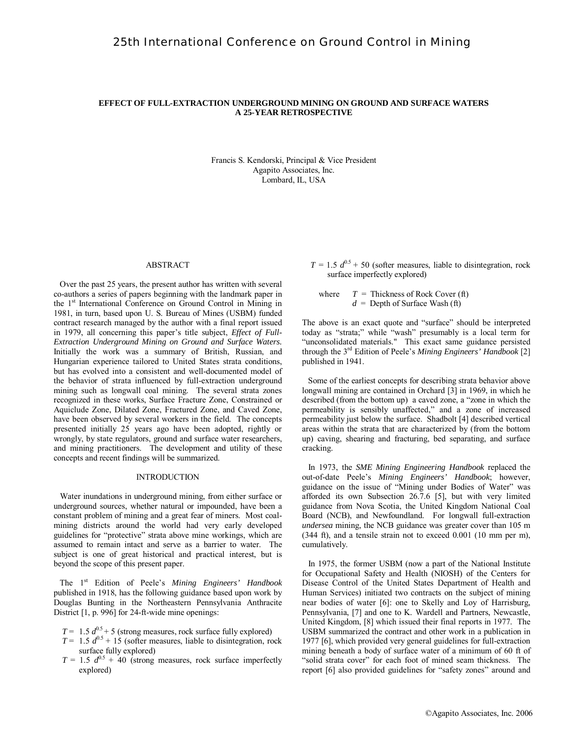### **EFFECT OF FULL-EXTRACTION UNDERGROUND MINING ON GROUND AND SURFACE WATERS A 25-YEAR RETROSPECTIVE**

Francis S. Kendorski, Principal & Vice President Agapito Associates, Inc. Lombard, IL, USA

#### ABSTRACT

 Over the past 25 years, the present author has written with several co-authors a series of papers beginning with the landmark paper in the 1<sup>st</sup> International Conference on Ground Control in Mining in 1981, in turn, based upon U. S. Bureau of Mines (USBM) funded contract research managed by the author with a final report issued in 1979, all concerning this paper's title subject, *Effect of Full-Extraction Underground Mining on Ground and Surface Waters.*  Initially the work was a summary of British, Russian, and Hungarian experience tailored to United States strata conditions, but has evolved into a consistent and well-documented model of the behavior of strata influenced by full-extraction underground mining such as longwall coal mining. The several strata zones recognized in these works, Surface Fracture Zone, Constrained or Aquiclude Zone, Dilated Zone, Fractured Zone, and Caved Zone, have been observed by several workers in the field. The concepts presented initially 25 years ago have been adopted, rightly or wrongly, by state regulators, ground and surface water researchers, and mining practitioners. The development and utility of these concepts and recent findings will be summarized.

#### INTRODUCTION

 Water inundations in underground mining, from either surface or underground sources, whether natural or impounded, have been a constant problem of mining and a great fear of miners. Most coalmining districts around the world had very early developed guidelines for "protective" strata above mine workings, which are assumed to remain intact and serve as a barrier to water. The subject is one of great historical and practical interest, but is beyond the scope of this present paper.

 The 1st Edition of Peele's *Mining Engineers' Handbook* published in 1918, has the following guidance based upon work by Douglas Bunting in the Northeastern Pennsylvania Anthracite District [1, p. 996] for 24-ft-wide mine openings:

- $T = 1.5 d^{0.5} + 5$  (strong measures, rock surface fully explored)
- $T = 1.5 d^{0.5} + 15$  (softer measures, liable to disintegration, rock surface fully explored)
- $T = 1.5 d^{0.5} + 40$  (strong measures, rock surface imperfectly explored)

 $T = 1.5 d^{0.5} + 50$  (softer measures, liable to disintegration, rock surface imperfectly explored)

where  $T =$  Thickness of Rock Cover (ft) *d* = Depth of Surface Wash (ft)

The above is an exact quote and "surface" should be interpreted today as "strata;" while "wash" presumably is a local term for "unconsolidated materials." This exact same guidance persisted through the 3rd Edition of Peele's *Mining Engineers' Handbook* [2] published in 1941.

 Some of the earliest concepts for describing strata behavior above longwall mining are contained in Orchard [3] in 1969, in which he described (from the bottom up) a caved zone, a "zone in which the permeability is sensibly unaffected," and a zone of increased permeability just below the surface. Shadbolt [4] described vertical areas within the strata that are characterized by (from the bottom up) caving, shearing and fracturing, bed separating, and surface cracking.

 In 1973, the *SME Mining Engineering Handbook* replaced the out-of-date Peele's *Mining Engineers' Handbook*; however, guidance on the issue of "Mining under Bodies of Water" was afforded its own Subsection 26.7.6 [5], but with very limited guidance from Nova Scotia, the United Kingdom National Coal Board (NCB), and Newfoundland. For longwall full-extraction *undersea* mining, the NCB guidance was greater cover than 105 m (344 ft), and a tensile strain not to exceed 0.001 (10 mm per m), cumulatively.

 In 1975, the former USBM (now a part of the National Institute for Occupational Safety and Health (NIOSH) of the Centers for Disease Control of the United States Department of Health and Human Services) initiated two contracts on the subject of mining near bodies of water [6]: one to Skelly and Loy of Harrisburg, Pennsylvania, [7] and one to K. Wardell and Partners, Newcastle, United Kingdom, [8] which issued their final reports in 1977. The USBM summarized the contract and other work in a publication in 1977 [6], which provided very general guidelines for full-extraction mining beneath a body of surface water of a minimum of 60 ft of "solid strata cover" for each foot of mined seam thickness. The report [6] also provided guidelines for "safety zones" around and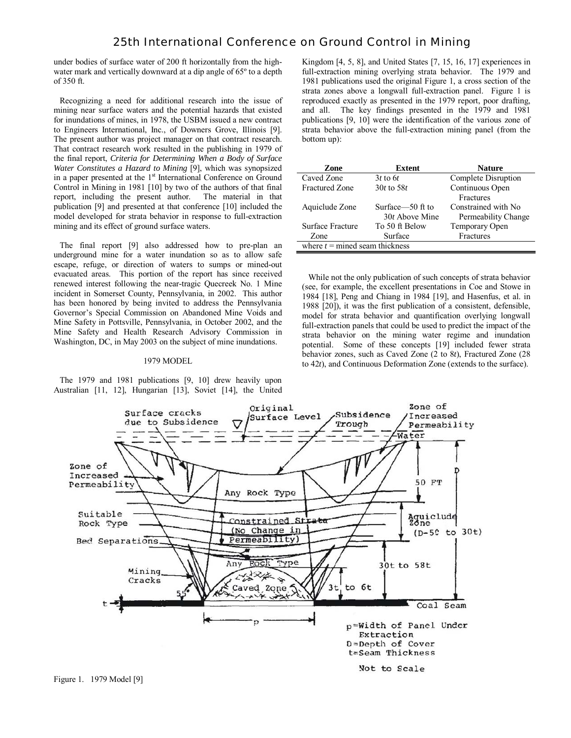under bodies of surface water of 200 ft horizontally from the highwater mark and vertically downward at a dip angle of 65º to a depth of 350 ft.

 Recognizing a need for additional research into the issue of mining near surface waters and the potential hazards that existed for inundations of mines, in 1978, the USBM issued a new contract to Engineers International, Inc., of Downers Grove, Illinois [9]. The present author was project manager on that contract research. That contract research work resulted in the publishing in 1979 of the final report, *Criteria for Determining When a Body of Surface Water Constitutes a Hazard to Mining* [9], which was synopsized in a paper presented at the 1<sup>st</sup> International Conference on Ground Control in Mining in 1981 [10] by two of the authors of that final report, including the present author. The material in that publication [9] and presented at that conference [10] included the model developed for strata behavior in response to full-extraction mining and its effect of ground surface waters.

 The final report [9] also addressed how to pre-plan an underground mine for a water inundation so as to allow safe escape, refuge, or direction of waters to sumps or mined-out evacuated areas. This portion of the report has since received renewed interest following the near-tragic Quecreek No. 1 Mine incident in Somerset County, Pennsylvania, in 2002. This author has been honored by being invited to address the Pennsylvania Governor's Special Commission on Abandoned Mine Voids and Mine Safety in Pottsville, Pennsylvania, in October 2002, and the Mine Safety and Health Research Advisory Commission in Washington, DC, in May 2003 on the subject of mine inundations.

#### 1979 MODEL

 The 1979 and 1981 publications [9, 10] drew heavily upon Australian [11, 12], Hungarian [13], Soviet [14], the United

Kingdom [4, 5, 8], and United States [7, 15, 16, 17] experiences in full-extraction mining overlying strata behavior. The 1979 and 1981 publications used the original Figure 1, a cross section of the strata zones above a longwall full-extraction panel. Figure 1 is reproduced exactly as presented in the 1979 report, poor drafting, and all. The key findings presented in the 1979 and 1981 publications [9, 10] were the identification of the various zone of strata behavior above the full-extraction mining panel (from the bottom up):

| Zone                             | Extent           | <b>Nature</b>        |  |  |
|----------------------------------|------------------|----------------------|--|--|
| Caved Zone                       | $3t$ to 6t       | Complete Disruption  |  |  |
| <b>Fractured Zone</b>            | $30t$ to $58t$   | Continuous Open      |  |  |
|                                  |                  | <b>Fractures</b>     |  |  |
| Aquiclude Zone                   | Surface—50 ft to | Constrained with No. |  |  |
|                                  | 30t Above Mine   | Permeability Change  |  |  |
| Surface Fracture                 | To 50 ft Below   | Temporary Open       |  |  |
| Zone                             | Surface          | Fractures            |  |  |
| where $t =$ mined seam thickness |                  |                      |  |  |

 While not the only publication of such concepts of strata behavior (see, for example, the excellent presentations in Coe and Stowe in 1984 [18], Peng and Chiang in 1984 [19], and Hasenfus, et al. in 1988 [20]), it was the first publication of a consistent, defensible, model for strata behavior and quantification overlying longwall full-extraction panels that could be used to predict the impact of the strata behavior on the mining water regime and inundation potential. Some of these concepts [19] included fewer strata behavior zones, such as Caved Zone (2 to 8*t*), Fractured Zone (28 to 42*t*), and Continuous Deformation Zone (extends to the surface).

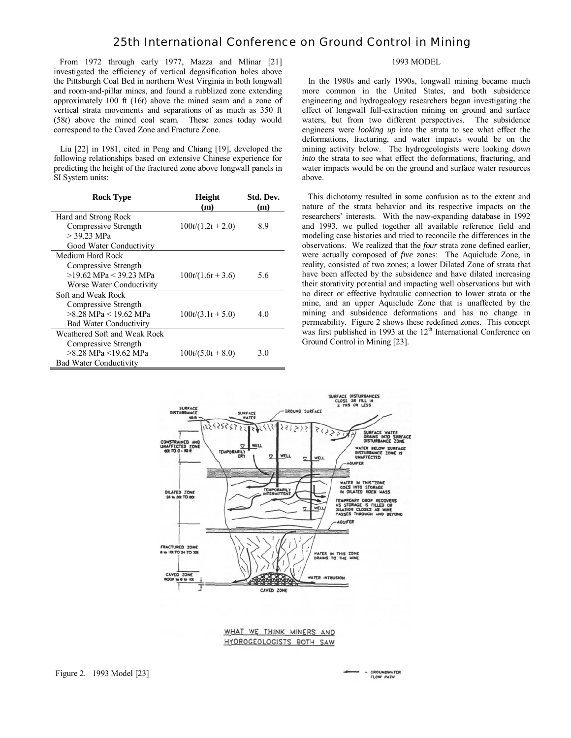From 1972 through early 1977, Mazza and Mlinar [21] investigated the efficiency of vertical degasification holes above the Pittsburgh Coal Bed in northern West Virginia in both longwall and room-and-pillar mines, and found a rubblized zone extending approximately 100 ft (16*t*) above the mined seam and a zone of vertical strata movements and separations of as much as 350 ft (58*t*) above the mined coal seam. These zones today would correspond to the Caved Zone and Fracture Zone.

 Liu [22] in 1981, cited in Peng and Chiang [19], developed the following relationships based on extensive Chinese experience for predicting the height of the fractured zone above longwall panels in SI System units:

| <b>Rock Type</b>              | Height            | Std. Dev. |
|-------------------------------|-------------------|-----------|
|                               | (m)               | (m)       |
| Hard and Strong Rock          |                   |           |
| Compressive Strength          | $100t/(1.2t+2.0)$ | 8.9       |
| $>$ 39.23 MPa                 |                   |           |
| Good Water Conductivity       |                   |           |
| Medium Hard Rock              |                   |           |
| Compressive Strength          |                   |           |
| >19.62 MPa < 39.23 MPa        | $100t/(1.6t+3.6)$ | 5.6       |
| Worse Water Conductivity      |                   |           |
| Soft and Weak Rock            |                   |           |
| Compressive Strength          |                   |           |
| >8.28 MPa < 19.62 MPa         | $100t/(3.1t+5.0)$ | 4.0       |
| <b>Bad Water Conductivity</b> |                   |           |
| Weathered Soft and Weak Rock  |                   |           |
| Compressive Strength          |                   |           |
| >8.28 MPa <19.62 MPa          | $100t/(5.0t+8.0)$ | 3.0       |
| <b>Bad Water Conductivity</b> |                   |           |

# 1993 MODEL

 In the 1980s and early 1990s, longwall mining became much more common in the United States, and both subsidence engineering and hydrogeology researchers began investigating the effect of longwall full-extraction mining on ground and surface waters, but from two different perspectives. The subsidence engineers were *looking up* into the strata to see what effect the deformations, fracturing, and water impacts would be on the mining activity below. The hydrogeologists were looking *down into* the strata to see what effect the deformations, fracturing, and water impacts would be on the ground and surface water resources above.

 This dichotomy resulted in some confusion as to the extent and nature of the strata behavior and its respective impacts on the researchers' interests. With the now-expanding database in 1992 and 1993, we pulled together all available reference field and modeling case histories and tried to reconcile the differences in the observations. We realized that the *four* strata zone defined earlier, were actually composed of *five* zones: The Aquiclude Zone, in reality, consisted of two zones; a lower Dilated Zone of strata that have been affected by the subsidence and have dilated increasing their storativity potential and impacting well observations but with no direct or effective hydraulic connection to lower strata or the mine, and an upper Aquiclude Zone that is unaffected by the mining and subsidence deformations and has no change in permeability. Figure 2 shows these redefined zones. This concept was first published in 1993 at the  $12<sup>th</sup>$  International Conference on Ground Control in Mining [23].



WHAT WE THINK MINERS AND HYDROGEOLOGISTS BOTH SAW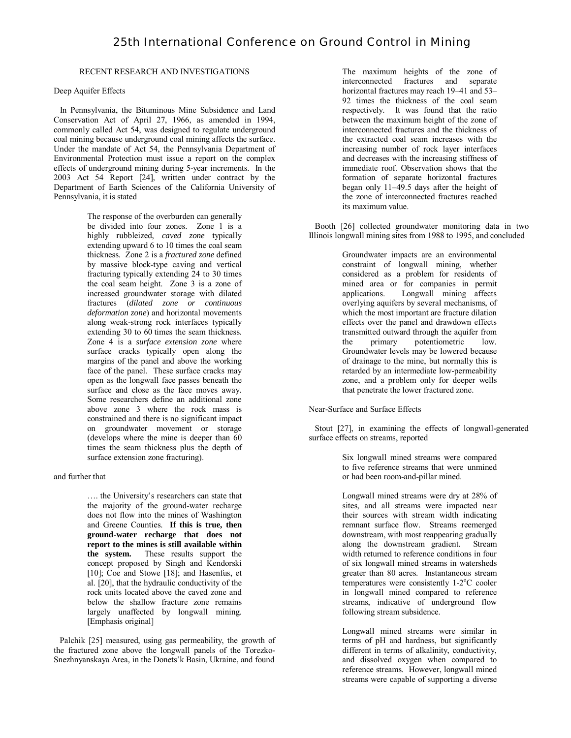# RECENT RESEARCH AND INVESTIGATIONS

## Deep Aquifer Effects

 In Pennsylvania, the Bituminous Mine Subsidence and Land Conservation Act of April 27, 1966, as amended in 1994, commonly called Act 54, was designed to regulate underground coal mining because underground coal mining affects the surface. Under the mandate of Act 54, the Pennsylvania Department of Environmental Protection must issue a report on the complex effects of underground mining during 5-year increments. In the 2003 Act 54 Report [24], written under contract by the Department of Earth Sciences of the California University of Pennsylvania, it is stated

> The response of the overburden can generally be divided into four zones. Zone 1 is a highly rubbleized, *caved zone* typically extending upward 6 to 10 times the coal seam thickness. Zone 2 is a *fractured zone* defined by massive block-type caving and vertical fracturing typically extending 24 to 30 times the coal seam height. Zone 3 is a zone of increased groundwater storage with dilated fractures (*dilated zone or continuous deformation zone*) and horizontal movements along weak-strong rock interfaces typically extending 30 to 60 times the seam thickness. Zone 4 is a *surface extension zone* where surface cracks typically open along the margins of the panel and above the working face of the panel. These surface cracks may open as the longwall face passes beneath the surface and close as the face moves away. Some researchers define an additional zone above zone 3 where the rock mass is constrained and there is no significant impact on groundwater movement or storage (develops where the mine is deeper than 60 times the seam thickness plus the depth of surface extension zone fracturing).

### and further that

…. the University's researchers can state that the majority of the ground-water recharge does not flow into the mines of Washington and Greene Counties. **If this is true, then ground-water recharge that does not report to the mines is still available within<br>the system.** These results support the These results support the concept proposed by Singh and Kendorski [10]; Coe and Stowe [18]; and Hasenfus, et al. [20], that the hydraulic conductivity of the rock units located above the caved zone and below the shallow fracture zone remains largely unaffected by longwall mining. [Emphasis original]

 Palchik [25] measured, using gas permeability, the growth of the fractured zone above the longwall panels of the Torezko-Snezhnyanskaya Area, in the Donets'k Basin, Ukraine, and found

The maximum heights of the zone of interconnected fractures and separate horizontal fractures may reach 19–41 and 53– 92 times the thickness of the coal seam respectively. It was found that the ratio between the maximum height of the zone of interconnected fractures and the thickness of the extracted coal seam increases with the increasing number of rock layer interfaces and decreases with the increasing stiffness of immediate roof. Observation shows that the formation of separate horizontal fractures began only 11–49.5 days after the height of the zone of interconnected fractures reached its maximum value.

 Booth [26] collected groundwater monitoring data in two Illinois longwall mining sites from 1988 to 1995, and concluded

> Groundwater impacts are an environmental constraint of longwall mining, whether considered as a problem for residents of mined area or for companies in permit<br>applications. Longwall mining affects Longwall mining affects overlying aquifers by several mechanisms, of which the most important are fracture dilation effects over the panel and drawdown effects transmitted outward through the aquifer from the primary potentiometric low. Groundwater levels may be lowered because of drainage to the mine, but normally this is retarded by an intermediate low-permeability zone, and a problem only for deeper wells that penetrate the lower fractured zone.

Near-Surface and Surface Effects

 Stout [27], in examining the effects of longwall-generated surface effects on streams, reported

> Six longwall mined streams were compared to five reference streams that were unmined or had been room-and-pillar mined.

Longwall mined streams were dry at 28% of sites, and all streams were impacted near their sources with stream width indicating remnant surface flow. Streams reemerged downstream, with most reappearing gradually along the downstream gradient. Stream width returned to reference conditions in four of six longwall mined streams in watersheds greater than 80 acres. Instantaneous stream  $temperatures$  were consistently 1-2 $\mathrm{^{\circ}C}$  cooler in longwall mined compared to reference streams, indicative of underground flow following stream subsidence.

Longwall mined streams were similar in terms of pH and hardness, but significantly different in terms of alkalinity, conductivity, and dissolved oxygen when compared to reference streams. However, longwall mined streams were capable of supporting a diverse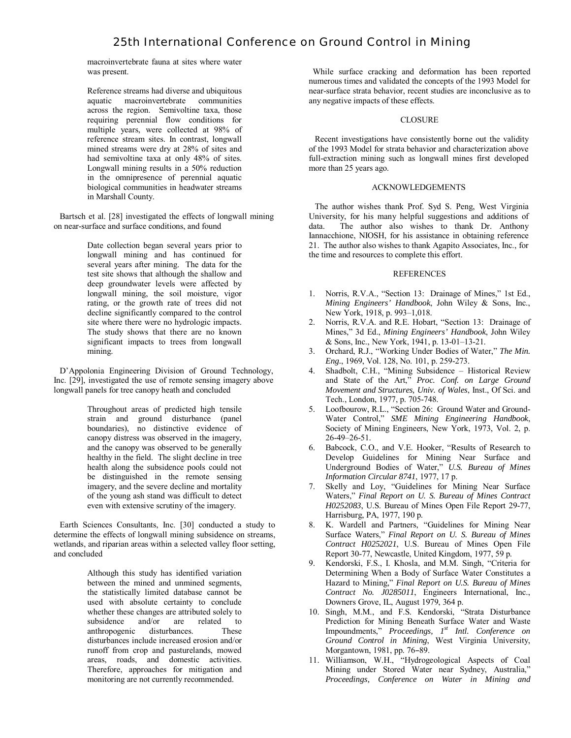macroinvertebrate fauna at sites where water was present.

Reference streams had diverse and ubiquitous aquatic macroinvertebrate communities across the region. Semivoltine taxa, those requiring perennial flow conditions for multiple years, were collected at 98% of reference stream sites. In contrast, longwall mined streams were dry at 28% of sites and had semivoltine taxa at only 48% of sites. Longwall mining results in a 50% reduction in the omnipresence of perennial aquatic biological communities in headwater streams in Marshall County.

 Bartsch et al. [28] investigated the effects of longwall mining on near-surface and surface conditions, and found

> Date collection began several years prior to longwall mining and has continued for several years after mining. The data for the test site shows that although the shallow and deep groundwater levels were affected by longwall mining, the soil moisture, vigor rating, or the growth rate of trees did not decline significantly compared to the control site where there were no hydrologic impacts. The study shows that there are no known significant impacts to trees from longwall mining.

 D'Appolonia Engineering Division of Ground Technology, Inc. [29], investigated the use of remote sensing imagery above longwall panels for tree canopy heath and concluded

> Throughout areas of predicted high tensile strain and ground disturbance (panel boundaries), no distinctive evidence of canopy distress was observed in the imagery, and the canopy was observed to be generally healthy in the field. The slight decline in tree health along the subsidence pools could not be distinguished in the remote sensing imagery, and the severe decline and mortality of the young ash stand was difficult to detect even with extensive scrutiny of the imagery.

 Earth Sciences Consultants, Inc. [30] conducted a study to determine the effects of longwall mining subsidence on streams, wetlands, and riparian areas within a selected valley floor setting, and concluded

> Although this study has identified variation between the mined and unmined segments, the statistically limited database cannot be used with absolute certainty to conclude whether these changes are attributed solely to<br>subsidence and/or are related to subsidence and/or are related to anthropogenic disturbances. These disturbances include increased erosion and/or runoff from crop and pasturelands, mowed areas, roads, and domestic activities. Therefore, approaches for mitigation and monitoring are not currently recommended.

 While surface cracking and deformation has been reported numerous times and validated the concepts of the 1993 Model for near-surface strata behavior, recent studies are inconclusive as to any negative impacts of these effects.

### CLOSURE

 Recent investigations have consistently borne out the validity of the 1993 Model for strata behavior and characterization above full-extraction mining such as longwall mines first developed more than 25 years ago.

### ACKNOWLEDGEMENTS

 The author wishes thank Prof. Syd S. Peng, West Virginia University, for his many helpful suggestions and additions of data. The author also wishes to thank Dr. Anthony Iannacchione, NIOSH, for his assistance in obtaining reference 21. The author also wishes to thank Agapito Associates, Inc., for the time and resources to complete this effort.

### **REFERENCES**

- 1. Norris, R.V.A., "Section 13: Drainage of Mines," 1st Ed., *Mining Engineers' Handbook*, John Wiley & Sons, Inc., New York, 1918, p. 993–1,018.
- 2. Norris, R.V.A. and R.E. Hobart, "Section 13: Drainage of Mines," 3d Ed., *Mining Engineers' Handbook*, John Wiley & Sons, Inc., New York, 1941, p. 13-01–13-21.
- 3. Orchard, R.J., "Working Under Bodies of Water," *The Min. Eng.*, 1969, Vol. 128, No. 101, p. 259-273.
- 4. Shadbolt, C.H., "Mining Subsidence Historical Review and State of the Art," *Proc. Conf. on Large Ground Movement and Structures, Univ. of Wales*, Inst., Of Sci. and Tech., London, 1977, p. 705-748.
- 5. Loofbourow, R.L., "Section 26: Ground Water and Ground-Water Control," *SME Mining Engineering Handbook*, Society of Mining Engineers, New York, 1973, Vol. 2, p. 26-49–26-51.
- 6. Babcock, C.O., and V.E. Hooker, "Results of Research to Develop Guidelines for Mining Near Surface and Underground Bodies of Water," *U.S. Bureau of Mines Information Circular 8741*, 1977, 17 p.
- 7. Skelly and Loy, "Guidelines for Mining Near Surface Waters," *Final Report on U. S. Bureau of Mines Contract H0252083*, U.S. Bureau of Mines Open File Report 29-77, Harrisburg, PA, 1977, 190 p.
- 8. K. Wardell and Partners, "Guidelines for Mining Near Surface Waters," *Final Report on U. S. Bureau of Mines Contract H0252021*, U.S. Bureau of Mines Open File Report 30-77, Newcastle, United Kingdom, 1977, 59 p.
- 9. Kendorski, F.S., I. Khosla, and M.M. Singh, "Criteria for Determining When a Body of Surface Water Constitutes a Hazard to Mining," *Final Report on U.S. Bureau of Mines Contract No. J0285011*, Engineers International, Inc., Downers Grove, IL, August 1979, 364 p.
- 10. Singh, M.M., and F.S. Kendorski, "Strata Disturbance Prediction for Mining Beneath Surface Water and Waste Impoundments," *Proceedings, 1st Intl. Conference on Ground Control in Mining*, West Virginia University, Morgantown, 1981, pp. 76-89.
- 11. Williamson, W.H., "Hydrogeological Aspects of Coal Mining under Stored Water near Sydney, Australia," *Proceedings, Conference on Water in Mining and*